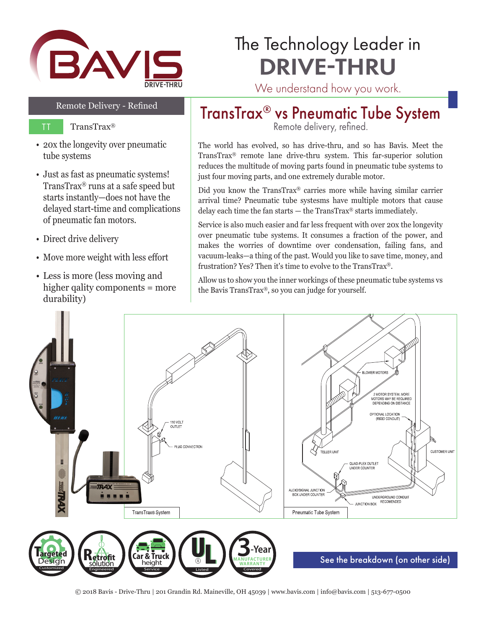

## The Technology Leader in DRIVE-THRU

### Remote Delivery - Refined

- TT TransTrax®
- 20x the longevity over pneumatic tube systems
- Just as fast as pneumatic systems! TransTrax® runs at a safe speed but starts instantly—does not have the delayed start-time and complications of pneumatic fan motors.
- Direct drive delivery
- Move more weight with less effort
- Less is more (less moving and higher qality components = more durability)

## TransTrax® vs Pneumatic Tube System

Remote delivery, refined.

The world has evolved, so has drive-thru, and so has Bavis. Meet the TransTrax® remote lane drive-thru system. This far-superior solution reduces the multitude of moving parts found in pneumatic tube systems to just four moving parts, and one extremely durable motor.

Did you know the TransTrax® carries more while having similar carrier arrival time? Pneumatic tube systesms have multiple motors that cause delay each time the fan starts — the TransTrax® starts immediately.

Service is also much easier and far less frequent with over 20x the longevity over pneumatic tube systems. It consumes a fraction of the power, and makes the worries of downtime over condensation, failing fans, and vacuum-leaks—a thing of the past. Would you like to save time, money, and frustration? Yes? Then it's time to evolve to the TransTrax®.

Allow us to show you the inner workings of these pneumatic tube systems vs the Bavis TransTrax®, so you can judge for yourself.



<sup>© 2018</sup> Bavis - Drive-Thru | 201 Grandin Rd. Maineville, OH 45039 | www.bavis.com | info@bavis.com | 513-677-0500